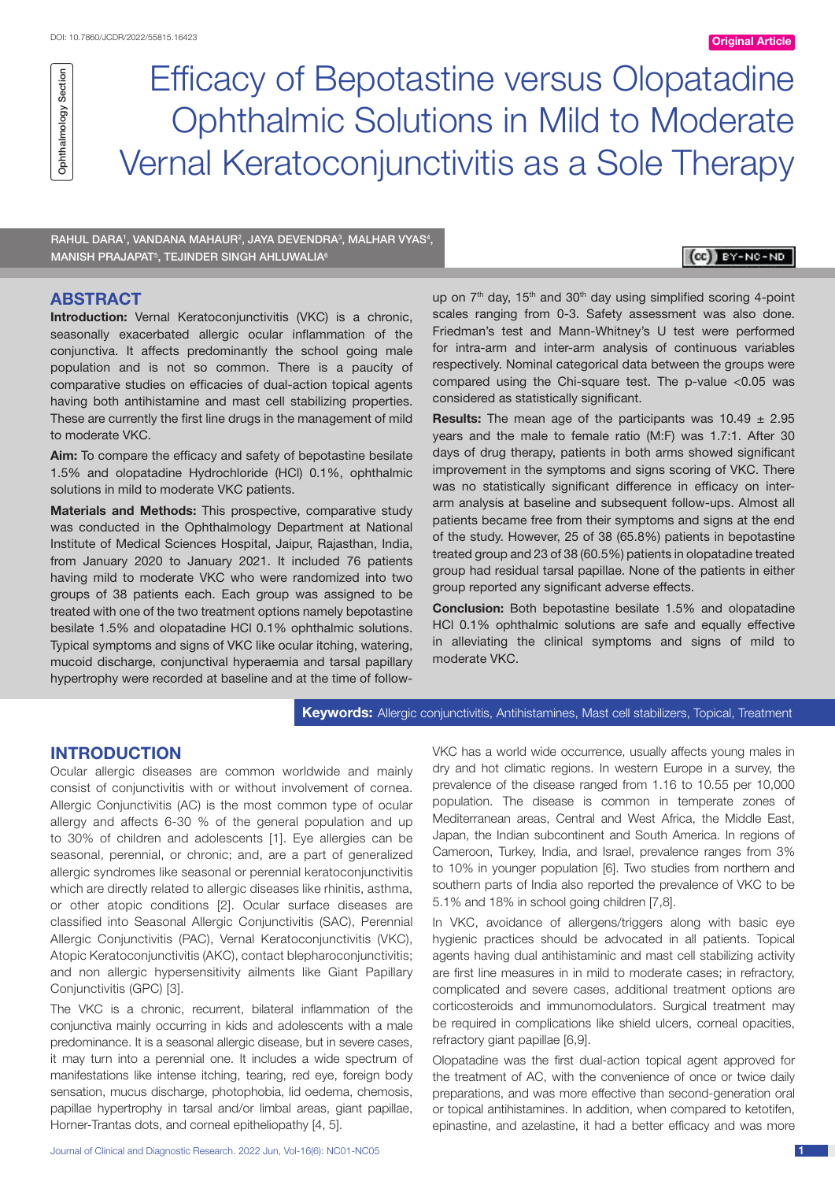Efficacy of Bepotastine versus Olopatadine Ophthalmic Solutions in Mild to Moderate Vernal Keratoconjunctivitis as a Sole Therapy

RAHUL DARA1, VANDANA MAHAUR<sup>2</sup>, JAYA DEVENDRA<sup>3</sup>, MALHAR VYAS<sup>4</sup>, MANISH PRAJAPAT<sup>5</sup>, TEJINDER SINGH AHLUWALIA<sup>6</sup>

## CC BY-NC-ND

# **ABSTRACT**

**Introduction:** Vernal Keratoconjunctivitis (VKC) is a chronic, seasonally exacerbated allergic ocular inflammation of the conjunctiva. It affects predominantly the school going male population and is not so common. There is a paucity of comparative studies on efficacies of dual-action topical agents having both antihistamine and mast cell stabilizing properties. These are currently the first line drugs in the management of mild to moderate VKC.

**Aim:** To compare the efficacy and safety of bepotastine besilate 1.5% and olopatadine Hydrochloride (HCl) 0.1%, ophthalmic solutions in mild to moderate VKC patients.

**Materials and Methods:** This prospective, comparative study was conducted in the Ophthalmology Department at National Institute of Medical Sciences Hospital, Jaipur, Rajasthan, India, from January 2020 to January 2021. It included 76 patients having mild to moderate VKC who were randomized into two groups of 38 patients each. Each group was assigned to be treated with one of the two treatment options namely bepotastine besilate 1.5% and olopatadine HCl 0.1% ophthalmic solutions. Typical symptoms and signs of VKC like ocular itching, watering, mucoid discharge, conjunctival hyperaemia and tarsal papillary hypertrophy were recorded at baseline and at the time of followup on 7<sup>th</sup> day, 15<sup>th</sup> and 30<sup>th</sup> day using simplified scoring 4-point scales ranging from 0-3. Safety assessment was also done. Friedman's test and Mann-Whitney's U test were performed for intra-arm and inter-arm analysis of continuous variables respectively. Nominal categorical data between the groups were compared using the Chi-square test. The p-value <0.05 was considered as statistically significant.

**Results:** The mean age of the participants was 10.49 ± 2.95 years and the male to female ratio (M:F) was 1.7:1. After 30 days of drug therapy, patients in both arms showed significant improvement in the symptoms and signs scoring of VKC. There was no statistically significant difference in efficacy on interarm analysis at baseline and subsequent follow-ups. Almost all patients became free from their symptoms and signs at the end of the study. However, 25 of 38 (65.8%) patients in bepotastine treated group and 23 of 38 (60.5%) patients in olopatadine treated group had residual tarsal papillae. None of the patients in either group reported any significant adverse effects.

**Conclusion:** Both bepotastine besilate 1.5% and olopatadine HCl 0.1% ophthalmic solutions are safe and equally effective in alleviating the clinical symptoms and signs of mild to moderate VKC.

**Keywords:** Allergic conjunctivitis, Antihistamines, Mast cell stabilizers, Topical, Treatment

# **INTRODUCTION**

Ocular allergic diseases are common worldwide and mainly consist of conjunctivitis with or without involvement of cornea. Allergic Conjunctivitis (AC) is the most common type of ocular allergy and affects 6-30 % of the general population and up to 30% of children and adolescents [1]. Eye allergies can be seasonal, perennial, or chronic; and, are a part of generalized allergic syndromes like seasonal or perennial keratoconjunctivitis which are directly related to allergic diseases like rhinitis, asthma, or other atopic conditions [2]. Ocular surface diseases are classified into Seasonal Allergic Conjunctivitis (SAC), Perennial Allergic Conjunctivitis (PAC), Vernal Keratoconjunctivitis (VKC), Atopic Keratoconjunctivitis (AKC), contact blepharoconjunctivitis; and non allergic hypersensitivity ailments like Giant Papillary Conjunctivitis (GPC) [3].

The VKC is a chronic, recurrent, bilateral inflammation of the conjunctiva mainly occurring in kids and adolescents with a male predominance. It is a seasonal allergic disease, but in severe cases, it may turn into a perennial one. It includes a wide spectrum of manifestations like intense itching, tearing, red eye, foreign body sensation, mucus discharge, photophobia, lid oedema, chemosis, papillae hypertrophy in tarsal and/or limbal areas, giant papillae, Horner-Trantas dots, and corneal epitheliopathy [4, 5].

Journal of Clinical and Diagnostic Research. 2022 Jun, Vol-16(6): NC01-NC05 1

VKC has a world wide occurrence, usually affects young males in dry and hot climatic regions. In western Europe in a survey, the prevalence of the disease ranged from 1.16 to 10.55 per 10,000 population. The disease is common in temperate zones of Mediterranean areas, Central and West Africa, the Middle East, Japan, the Indian subcontinent and South America. In regions of Cameroon, Turkey, India, and Israel, prevalence ranges from 3% to 10% in younger population [6]. Two studies from northern and southern parts of India also reported the prevalence of VKC to be 5.1% and 18% in school going children [7,8].

In VKC, avoidance of allergens/triggers along with basic eye hygienic practices should be advocated in all patients. Topical agents having dual antihistaminic and mast cell stabilizing activity are first line measures in in mild to moderate cases; in refractory, complicated and severe cases, additional treatment options are corticosteroids and immunomodulators. Surgical treatment may be required in complications like shield ulcers, corneal opacities, refractory giant papillae [6,9].

Olopatadine was the first dual-action topical agent approved for the treatment of AC, with the convenience of once or twice daily preparations, and was more effective than second-generation oral or topical antihistamines. In addition, when compared to ketotifen, epinastine, and azelastine, it had a better efficacy and was more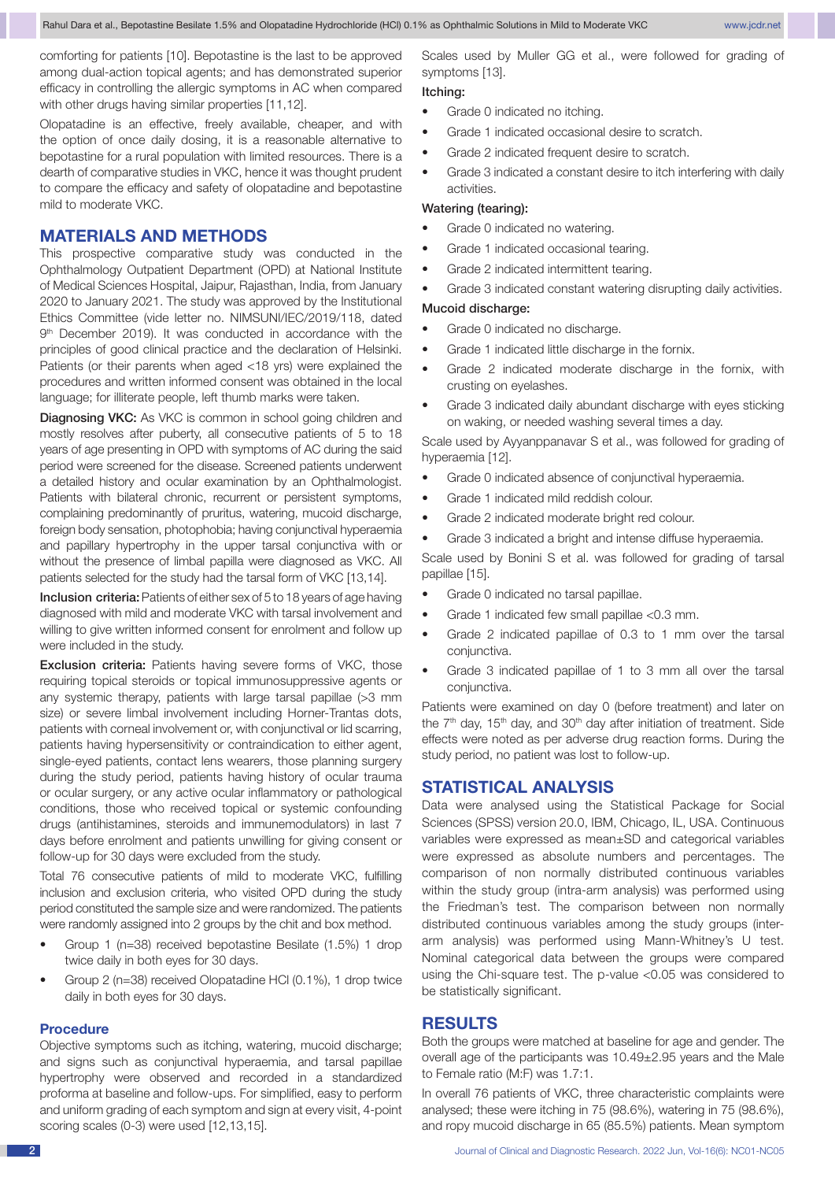comforting for patients [10]. Bepotastine is the last to be approved among dual-action topical agents; and has demonstrated superior efficacy in controlling the allergic symptoms in AC when compared with other drugs having similar properties [11,12].

Olopatadine is an effective, freely available, cheaper, and with the option of once daily dosing, it is a reasonable alternative to bepotastine for a rural population with limited resources. There is a dearth of comparative studies in VKC, hence it was thought prudent to compare the efficacy and safety of olopatadine and bepotastine mild to moderate VKC.

# **MATERIALS AND METHODS**

This prospective comparative study was conducted in the Ophthalmology Outpatient Department (OPD) at National Institute of Medical Sciences Hospital, Jaipur, Rajasthan, India, from January 2020 to January 2021. The study was approved by the Institutional Ethics Committee (vide letter no. NIMSUNI/IEC/2019/118, dated 9<sup>th</sup> December 2019). It was conducted in accordance with the principles of good clinical practice and the declaration of Helsinki. Patients (or their parents when aged <18 yrs) were explained the procedures and written informed consent was obtained in the local language; for illiterate people, left thumb marks were taken.

**Diagnosing VKC:** As VKC is common in school going children and mostly resolves after puberty, all consecutive patients of 5 to 18 years of age presenting in OPD with symptoms of AC during the said period were screened for the disease. Screened patients underwent a detailed history and ocular examination by an Ophthalmologist. Patients with bilateral chronic, recurrent or persistent symptoms, complaining predominantly of pruritus, watering, mucoid discharge, foreign body sensation, photophobia; having conjunctival hyperaemia and papillary hypertrophy in the upper tarsal conjunctiva with or without the presence of limbal papilla were diagnosed as VKC. All patients selected for the study had the tarsal form of VKC [13,14].

Inclusion criteria: Patients of either sex of 5 to 18 years of age having diagnosed with mild and moderate VKC with tarsal involvement and willing to give written informed consent for enrolment and follow up were included in the study.

Exclusion criteria: Patients having severe forms of VKC, those requiring topical steroids or topical immunosuppressive agents or any systemic therapy, patients with large tarsal papillae (>3 mm size) or severe limbal involvement including Horner-Trantas dots, patients with corneal involvement or, with conjunctival or lid scarring, patients having hypersensitivity or contraindication to either agent, single-eyed patients, contact lens wearers, those planning surgery during the study period, patients having history of ocular trauma or ocular surgery, or any active ocular inflammatory or pathological conditions, those who received topical or systemic confounding drugs (antihistamines, steroids and immunemodulators) in last 7 days before enrolment and patients unwilling for giving consent or follow-up for 30 days were excluded from the study.

Total 76 consecutive patients of mild to moderate VKC, fulfilling inclusion and exclusion criteria, who visited OPD during the study period constituted the sample size and were randomized. The patients were randomly assigned into 2 groups by the chit and box method.

- Group 1 (n=38) received bepotastine Besilate (1.5%) 1 drop twice daily in both eyes for 30 days.
- Group 2 (n=38) received Olopatadine HCl (0.1%), 1 drop twice daily in both eyes for 30 days.

#### **Procedure**

Objective symptoms such as itching, watering, mucoid discharge; and signs such as conjunctival hyperaemia, and tarsal papillae hypertrophy were observed and recorded in a standardized proforma at baseline and follow-ups. For simplified, easy to perform and uniform grading of each symptom and sign at every visit, 4-point scoring scales (0-3) were used [12,13,15].

Scales used by Muller GG et al., were followed for grading of symptoms [13].

# Itching:

- Grade 0 indicated no itching.
- • Grade 1 indicated occasional desire to scratch.
- Grade 2 indicated frequent desire to scratch.
- Grade 3 indicated a constant desire to itch interfering with daily activities.

## Watering (tearing):

- Grade 0 indicated no watering.
- Grade 1 indicated occasional tearing.
- Grade 2 indicated intermittent tearing.
- Grade 3 indicated constant watering disrupting daily activities.

#### Mucoid discharge:

- Grade 0 indicated no discharge.
- Grade 1 indicated little discharge in the fornix.
- Grade 2 indicated moderate discharge in the fornix, with crusting on eyelashes.
- Grade 3 indicated daily abundant discharge with eyes sticking on waking, or needed washing several times a day.

Scale used by Ayyanppanavar S et al., was followed for grading of hyperaemia [12].

- Grade 0 indicated absence of conjunctival hyperaemia.
- • Grade 1 indicated mild reddish colour.
- Grade 2 indicated moderate bright red colour.
- Grade 3 indicated a bright and intense diffuse hyperaemia.

Scale used by Bonini S et al. was followed for grading of tarsal papillae [15].

- Grade 0 indicated no tarsal papillae.
- Grade 1 indicated few small papillae  $<$  0.3 mm.
- Grade 2 indicated papillae of 0.3 to 1 mm over the tarsal conjunctiva.
- • Grade 3 indicated papillae of 1 to 3 mm all over the tarsal conjunctiva.

Patients were examined on day 0 (before treatment) and later on the  $7<sup>th</sup>$  day, 15<sup>th</sup> day, and 30<sup>th</sup> day after initiation of treatment. Side effects were noted as per adverse drug reaction forms. During the study period, no patient was lost to follow-up.

## **STATISTICAL ANALYSIS**

Data were analysed using the Statistical Package for Social Sciences (SPSS) version 20.0, IBM, Chicago, IL, USA. Continuous variables were expressed as mean±SD and categorical variables were expressed as absolute numbers and percentages. The comparison of non normally distributed continuous variables within the study group (intra-arm analysis) was performed using the Friedman's test. The comparison between non normally distributed continuous variables among the study groups (interarm analysis) was performed using Mann-Whitney's U test. Nominal categorical data between the groups were compared using the Chi-square test. The p-value <0.05 was considered to be statistically significant.

## **RESULTS**

Both the groups were matched at baseline for age and gender. The overall age of the participants was 10.49±2.95 years and the Male to Female ratio (M:F) was 1.7:1.

In overall 76 patients of VKC, three characteristic complaints were analysed; these were itching in 75 (98.6%), watering in 75 (98.6%), and ropy mucoid discharge in 65 (85.5%) patients. Mean symptom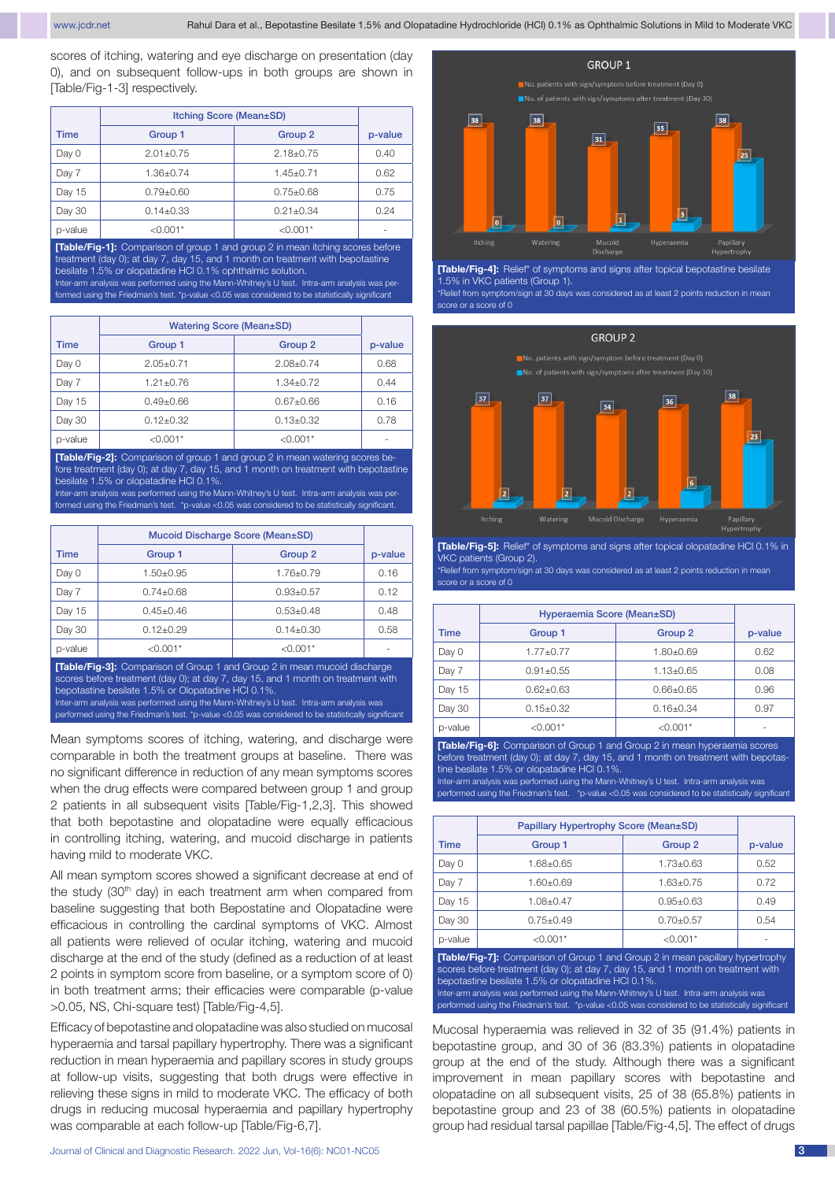scores of itching, watering and eye discharge on presentation (day 0), and on subsequent follow-ups in both groups are shown in [Table/Fig-1-3] respectively.

|             | Itching Score (Mean±SD) |                    |         |
|-------------|-------------------------|--------------------|---------|
| <b>Time</b> | Group 1                 | Group <sub>2</sub> | p-value |
| Day 0       | $2.01 + 0.75$           | $2.18 \pm 0.75$    | 0.40    |
| Day 7       | $1.36 \pm 0.74$         | $1.45 \pm 0.71$    | 0.62    |
| Day 15      | $0.79 \pm 0.60$         | $0.75 \pm 0.68$    | 0.75    |
| Day 30      | $0.14 \pm 0.33$         | $0.21 \pm 0.34$    | 0.24    |
| p-value     | $< 0.001*$              | $< 0.001*$         | -       |

**[Table/Fig-1]:** Comparison of group 1 and group 2 in mean itching scores before treatment (day 0); at day 7, day 15, and 1 month on treatment with bepotastine besilate 1.5% or olopatadine HCl 0.1% ophthalmic solution. Inter-arm analysis was performed using the Mann-Whitney's U test. Intra-arm analysis was per-

formed using the Friedman's test. \*p-value <0.05 was considered to be statistically significant

|         | <b>Watering Score (Mean±SD)</b> |                    |         |
|---------|---------------------------------|--------------------|---------|
| Time    | Group 1                         | Group <sub>2</sub> | p-value |
| Day 0   | $2.05 \pm 0.71$                 | $2.08 \pm 0.74$    | 0.68    |
| Day 7   | $1.21 \pm 0.76$                 | $1.34 \pm 0.72$    | 0.44    |
| Day 15  | $0.49 \pm 0.66$                 | $0.67 + 0.66$      | 0.16    |
| Day 30  | $0.12 \pm 0.32$                 | $0.13 \pm 0.32$    | 0.78    |
| p-value | $< 0.001*$                      | $< 0.001*$         |         |

**[Table/Fig-2]:** Comparison of group 1 and group 2 in mean watering scores before treatment (day 0); at day 7, day 15, and 1 month on treatment with bepotastine besilate 1.5% or olopatadine HCl 0.1%. Inter-arm analysis was performed using the Mann-Whitney's U test. Intra-arm analysis was per-

formed using the Friedman's test. \*p-value <0.05 was considered to be statistically significant

|             | Mucoid Discharge Score (Mean±SD) |                    |         |
|-------------|----------------------------------|--------------------|---------|
| <b>Time</b> | Group 1                          | Group <sub>2</sub> | p-value |
| Day 0       | 1.50±0.95                        | $1.76 \pm 0.79$    | 0.16    |
| Day 7       | $0.74 \pm 0.68$                  | $0.93 \pm 0.57$    | 0.12    |
| Day 15      | $0.45 + 0.46$                    | $0.53 \pm 0.48$    | 0.48    |
| Day 30      | $0.12 \pm 0.29$                  | $0.14 \pm 0.30$    | 0.58    |
| p-value     | $< 0.001*$                       | $<$ 0.001 $*$      |         |

**[Table/Fig-3]:** Comparison of Group 1 and Group 2 in mean mucoid discharge scores before treatment (day 0); at day 7, day 15, and 1 month on treatment with bepotastine besilate 1.5% or Olopatadine HCl 0.1%. Inter-arm analysis was performed using the Mann-Whitney's U test. Intra-arm analysis was

performed using the Friedman's test. \*p-value <0.05 was considered to be statistically significant

Mean symptoms scores of itching, watering, and discharge were comparable in both the treatment groups at baseline. There was no significant difference in reduction of any mean symptoms scores when the drug effects were compared between group 1 and group 2 patients in all subsequent visits [Table/Fig-1,2,3]. This showed that both bepotastine and olopatadine were equally efficacious in controlling itching, watering, and mucoid discharge in patients having mild to moderate VKC.

All mean symptom scores showed a significant decrease at end of the study (30<sup>th</sup> day) in each treatment arm when compared from baseline suggesting that both Bepostatine and Olopatadine were efficacious in controlling the cardinal symptoms of VKC. Almost all patients were relieved of ocular itching, watering and mucoid discharge at the end of the study (defined as a reduction of at least 2 points in symptom score from baseline, or a symptom score of 0) in both treatment arms; their efficacies were comparable (p-value >0.05, NS, Chi-square test) [Table/Fig-4,5].

Efficacy of bepotastine and olopatadine was also studied on mucosal hyperaemia and tarsal papillary hypertrophy. There was a significant reduction in mean hyperaemia and papillary scores in study groups at follow-up visits, suggesting that both drugs were effective in relieving these signs in mild to moderate VKC. The efficacy of both drugs in reducing mucosal hyperaemia and papillary hypertrophy was comparable at each follow-up [Table/Fig-6,7].



**[Table/Fig-4]:** Relief\* of symptoms and signs after topical bepotastine besilate 1.5% in VKC patients (Group 1).

\*Relief from symptom/sign at 30 days was considered as at least 2 points reduction in mean



**[Table/Fig-5]:** Relief\* of symptoms and signs after topical olopatadine HCl 0.1% in VKC patients (Group 2).

\*Relief from symptom/sign at 30 days was considered as at least 2 points reduction in mean score or a score of 0

|             | Hyperaemia Score (Mean±SD) |                    |         |
|-------------|----------------------------|--------------------|---------|
| <b>Time</b> | Group 1                    | Group <sub>2</sub> | p-value |
| Day 0       | $1.77 + 0.77$              | $1.80 \pm 0.69$    | 0.62    |
| Day 7       | $0.91 \pm 0.55$            | $1.13 \pm 0.65$    | 0.08    |
| Day 15      | $0.62 \pm 0.63$            | $0.66 \pm 0.65$    | 0.96    |
| Day 30      | $0.15 \pm 0.32$            | $0.16 \pm 0.34$    | 0.97    |
| p-value     | $< 0.001*$                 | $< 0.001*$         |         |

**[Table/Fig-6]:** Comparison of Group 1 and Group 2 in mean hyperaemia scores before treatment (day 0); at day 7, day 15, and 1 month on treatment with bepotastine besilate 1.5% or olopatadine HCl 0.1%.

Inter-arm analysis was performed using the Mann-Whitney's U test. Intra-arm analysis was performed using the Friedman's test. \*p-value <0.05 was considered to be statistically significant

|                                                                                       | Papillary Hypertrophy Score (Mean±SD) |                    |         |
|---------------------------------------------------------------------------------------|---------------------------------------|--------------------|---------|
| <b>Time</b>                                                                           | Group 1                               | Group <sub>2</sub> | p-value |
| Day 0                                                                                 | 1.68±0.65                             | $1.73 \pm 0.63$    | 0.52    |
| Day 7                                                                                 | 1.60±0.69                             | $1.63 \pm 0.75$    | 0.72    |
| Day 15                                                                                | $1.08 \pm 0.47$                       | $0.95 \pm 0.63$    | 0.49    |
| Day 30                                                                                | $0.75 \pm 0.49$                       | $0.70 + 0.57$      | 0.54    |
| p-value                                                                               | $< 0.001*$                            | $< 0.001*$         |         |
| <b>[Table/Fig-7]:</b> Comparison of Group 1 and Group 2 in mean papillary hypertrophy |                                       |                    |         |

scores before treatment (day 0); at day 7, day 15, and 1 month on treatment with bepotastine besilate 1.5% or olopatadine HCl 0.1%. Inter-arm analysis was performed using the Mann-Whitney's U test. Intra-arm analysis was performed using the Friedman's test. \*p-value <0.05 was considered to be statistically signific

Mucosal hyperaemia was relieved in 32 of 35 (91.4%) patients in bepotastine group, and 30 of 36 (83.3%) patients in olopatadine group at the end of the study. Although there was a significant improvement in mean papillary scores with bepotastine and olopatadine on all subsequent visits, 25 of 38 (65.8%) patients in bepotastine group and 23 of 38 (60.5%) patients in olopatadine group had residual tarsal papillae [Table/Fig-4,5]. The effect of drugs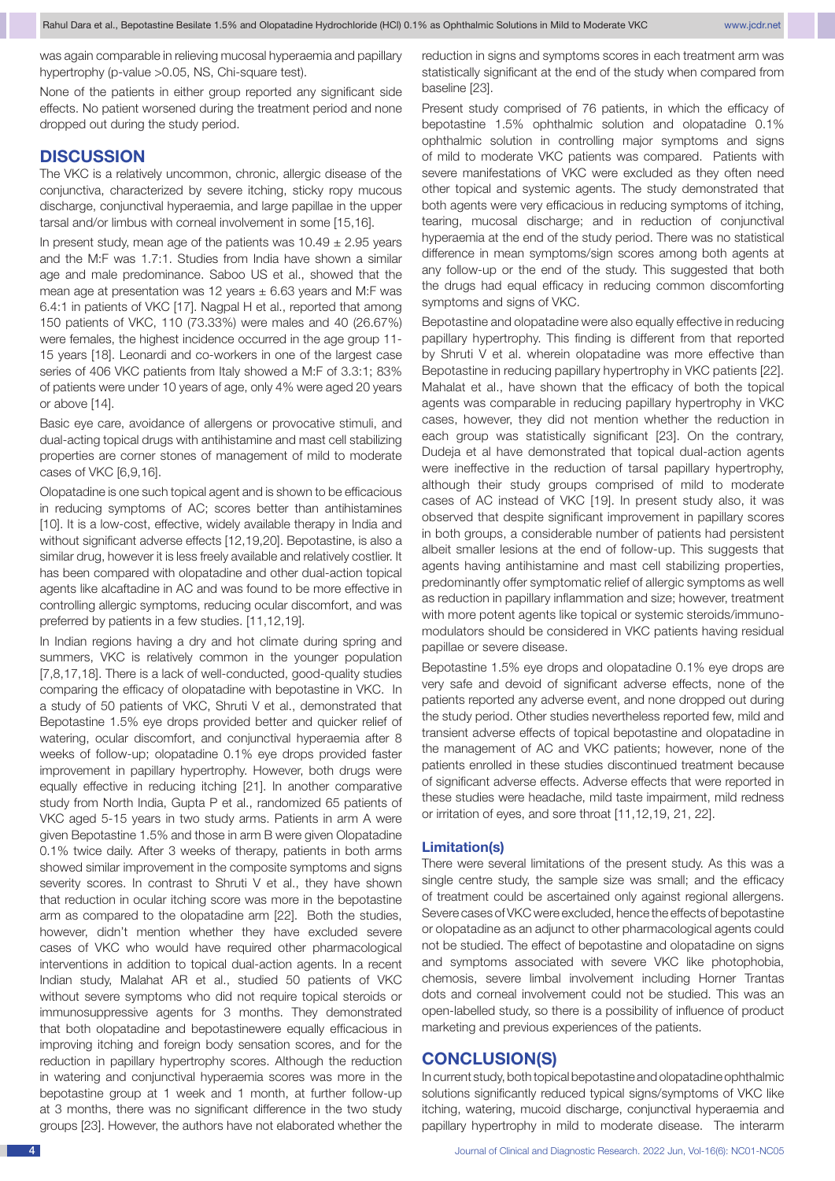was again comparable in relieving mucosal hyperaemia and papillary hypertrophy (p-value >0.05, NS, Chi-square test).

None of the patients in either group reported any significant side effects. No patient worsened during the treatment period and none dropped out during the study period.

# **DISCUSSION**

The VKC is a relatively uncommon, chronic, allergic disease of the conjunctiva, characterized by severe itching, sticky ropy mucous discharge, conjunctival hyperaemia, and large papillae in the upper tarsal and/or limbus with corneal involvement in some [15,16].

In present study, mean age of the patients was  $10.49 \pm 2.95$  years and the M:F was 1.7:1. Studies from India have shown a similar age and male predominance. Saboo US et al., showed that the mean age at presentation was 12 years  $\pm$  6.63 years and M:F was 6.4:1 in patients of VKC [17]. Nagpal H et al., reported that among 150 patients of VKC, 110 (73.33%) were males and 40 (26.67%) were females, the highest incidence occurred in the age group 11- 15 years [18]. Leonardi and co-workers in one of the largest case series of 406 VKC patients from Italy showed a M:F of 3.3:1; 83% of patients were under 10 years of age, only 4% were aged 20 years or above [14].

Basic eye care, avoidance of allergens or provocative stimuli, and dual-acting topical drugs with antihistamine and mast cell stabilizing properties are corner stones of management of mild to moderate cases of VKC [6,9,16].

Olopatadine is one such topical agent and is shown to be efficacious in reducing symptoms of AC; scores better than antihistamines [10]. It is a low-cost, effective, widely available therapy in India and without significant adverse effects [12,19,20]. Bepotastine, is also a similar drug, however it is less freely available and relatively costlier. It has been compared with olopatadine and other dual-action topical agents like alcaftadine in AC and was found to be more effective in controlling allergic symptoms, reducing ocular discomfort, and was preferred by patients in a few studies. [11,12,19].

In Indian regions having a dry and hot climate during spring and summers, VKC is relatively common in the younger population [7,8,17,18]. There is a lack of well-conducted, good-quality studies comparing the efficacy of olopatadine with bepotastine in VKC. In a study of 50 patients of VKC, Shruti V et al., demonstrated that Bepotastine 1.5% eye drops provided better and quicker relief of watering, ocular discomfort, and conjunctival hyperaemia after 8 weeks of follow-up; olopatadine 0.1% eye drops provided faster improvement in papillary hypertrophy. However, both drugs were equally effective in reducing itching [21]. In another comparative study from North India, Gupta P et al., randomized 65 patients of VKC aged 5-15 years in two study arms. Patients in arm A were given Bepotastine 1.5% and those in arm B were given Olopatadine 0.1% twice daily. After 3 weeks of therapy, patients in both arms showed similar improvement in the composite symptoms and signs severity scores. In contrast to Shruti V et al., they have shown that reduction in ocular itching score was more in the bepotastine arm as compared to the olopatadine arm [22]. Both the studies, however, didn't mention whether they have excluded severe cases of VKC who would have required other pharmacological interventions in addition to topical dual-action agents. In a recent Indian study, Malahat AR et al., studied 50 patients of VKC without severe symptoms who did not require topical steroids or immunosuppressive agents for 3 months. They demonstrated that both olopatadine and bepotastinewere equally efficacious in improving itching and foreign body sensation scores, and for the reduction in papillary hypertrophy scores. Although the reduction in watering and conjunctival hyperaemia scores was more in the bepotastine group at 1 week and 1 month, at further follow-up at 3 months, there was no significant difference in the two study groups [23]. However, the authors have not elaborated whether the

reduction in signs and symptoms scores in each treatment arm was statistically significant at the end of the study when compared from baseline [23].

Present study comprised of 76 patients, in which the efficacy of bepotastine 1.5% ophthalmic solution and olopatadine 0.1% ophthalmic solution in controlling major symptoms and signs of mild to moderate VKC patients was compared. Patients with severe manifestations of VKC were excluded as they often need other topical and systemic agents. The study demonstrated that both agents were very efficacious in reducing symptoms of itching, tearing, mucosal discharge; and in reduction of conjunctival hyperaemia at the end of the study period. There was no statistical difference in mean symptoms/sign scores among both agents at any follow-up or the end of the study. This suggested that both the drugs had equal efficacy in reducing common discomforting symptoms and signs of VKC.

Bepotastine and olopatadine were also equally effective in reducing papillary hypertrophy. This finding is different from that reported by Shruti V et al. wherein olopatadine was more effective than Bepotastine in reducing papillary hypertrophy in VKC patients [22]. Mahalat et al., have shown that the efficacy of both the topical agents was comparable in reducing papillary hypertrophy in VKC cases, however, they did not mention whether the reduction in each group was statistically significant [23]. On the contrary, Dudeja et al have demonstrated that topical dual-action agents were ineffective in the reduction of tarsal papillary hypertrophy, although their study groups comprised of mild to moderate cases of AC instead of VKC [19]. In present study also, it was observed that despite significant improvement in papillary scores in both groups, a considerable number of patients had persistent albeit smaller lesions at the end of follow-up. This suggests that agents having antihistamine and mast cell stabilizing properties, predominantly offer symptomatic relief of allergic symptoms as well as reduction in papillary inflammation and size; however, treatment with more potent agents like topical or systemic steroids/immunomodulators should be considered in VKC patients having residual papillae or severe disease.

Bepotastine 1.5% eye drops and olopatadine 0.1% eye drops are very safe and devoid of significant adverse effects, none of the patients reported any adverse event, and none dropped out during the study period. Other studies nevertheless reported few, mild and transient adverse effects of topical bepotastine and olopatadine in the management of AC and VKC patients; however, none of the patients enrolled in these studies discontinued treatment because of significant adverse effects. Adverse effects that were reported in these studies were headache, mild taste impairment, mild redness or irritation of eyes, and sore throat [11,12,19, 21, 22].

#### **Limitation(s)**

There were several limitations of the present study. As this was a single centre study, the sample size was small; and the efficacy of treatment could be ascertained only against regional allergens. Severe cases of VKC were excluded, hence the effects of bepotastine or olopatadine as an adjunct to other pharmacological agents could not be studied. The effect of bepotastine and olopatadine on signs and symptoms associated with severe VKC like photophobia, chemosis, severe limbal involvement including Horner Trantas dots and corneal involvement could not be studied. This was an open-labelled study, so there is a possibility of influence of product marketing and previous experiences of the patients.

### **CONCLUSION(S)**

In current study, both topical bepotastine and olopatadine ophthalmic solutions significantly reduced typical signs/symptoms of VKC like itching, watering, mucoid discharge, conjunctival hyperaemia and papillary hypertrophy in mild to moderate disease. The interarm